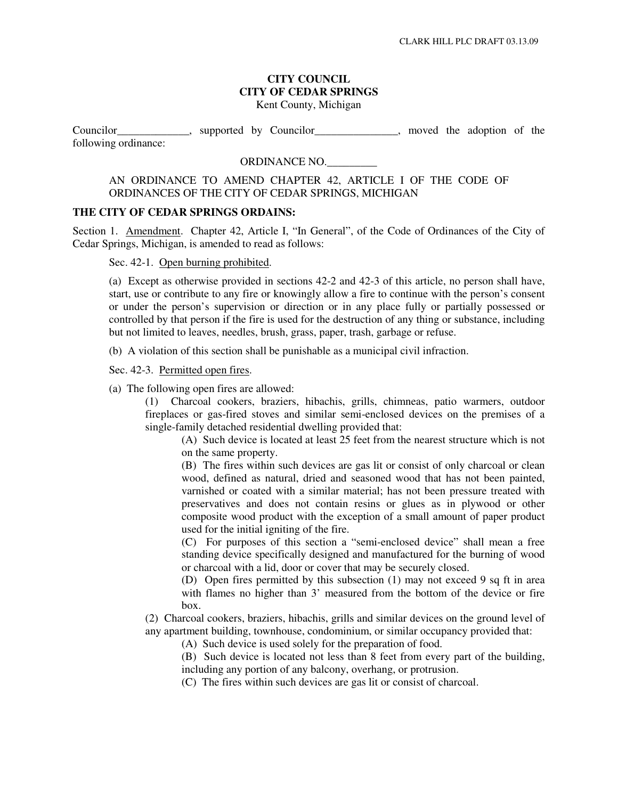### **CITY COUNCIL CITY OF CEDAR SPRINGS**  Kent County, Michigan

Councilor\_\_\_\_\_\_\_\_\_\_\_\_\_, supported by Councilor\_\_\_\_\_\_\_\_\_\_\_\_\_\_\_, moved the adoption of the following ordinance:

# ORDINANCE NO.

## AN ORDINANCE TO AMEND CHAPTER 42, ARTICLE I OF THE CODE OF ORDINANCES OF THE CITY OF CEDAR SPRINGS, MICHIGAN

#### **THE CITY OF CEDAR SPRINGS ORDAINS:**

Section 1. Amendment. Chapter 42, Article I, "In General", of the Code of Ordinances of the City of Cedar Springs, Michigan, is amended to read as follows:

Sec. 42-1. Open burning prohibited.

(a) Except as otherwise provided in sections 42-2 and 42-3 of this article, no person shall have, start, use or contribute to any fire or knowingly allow a fire to continue with the person's consent or under the person's supervision or direction or in any place fully or partially possessed or controlled by that person if the fire is used for the destruction of any thing or substance, including but not limited to leaves, needles, brush, grass, paper, trash, garbage or refuse.

(b) A violation of this section shall be punishable as a municipal civil infraction.

Sec. 42-3. Permitted open fires.

(a) The following open fires are allowed:

(1) Charcoal cookers, braziers, hibachis, grills, chimneas, patio warmers, outdoor fireplaces or gas-fired stoves and similar semi-enclosed devices on the premises of a single-family detached residential dwelling provided that:

(A) Such device is located at least 25 feet from the nearest structure which is not on the same property.

(B) The fires within such devices are gas lit or consist of only charcoal or clean wood, defined as natural, dried and seasoned wood that has not been painted, varnished or coated with a similar material; has not been pressure treated with preservatives and does not contain resins or glues as in plywood or other composite wood product with the exception of a small amount of paper product used for the initial igniting of the fire.

(C) For purposes of this section a "semi-enclosed device" shall mean a free standing device specifically designed and manufactured for the burning of wood or charcoal with a lid, door or cover that may be securely closed.

(D) Open fires permitted by this subsection (1) may not exceed 9 sq ft in area with flames no higher than 3' measured from the bottom of the device or fire box.

(2) Charcoal cookers, braziers, hibachis, grills and similar devices on the ground level of any apartment building, townhouse, condominium, or similar occupancy provided that:

(A) Such device is used solely for the preparation of food.

(B) Such device is located not less than 8 feet from every part of the building, including any portion of any balcony, overhang, or protrusion.

(C) The fires within such devices are gas lit or consist of charcoal.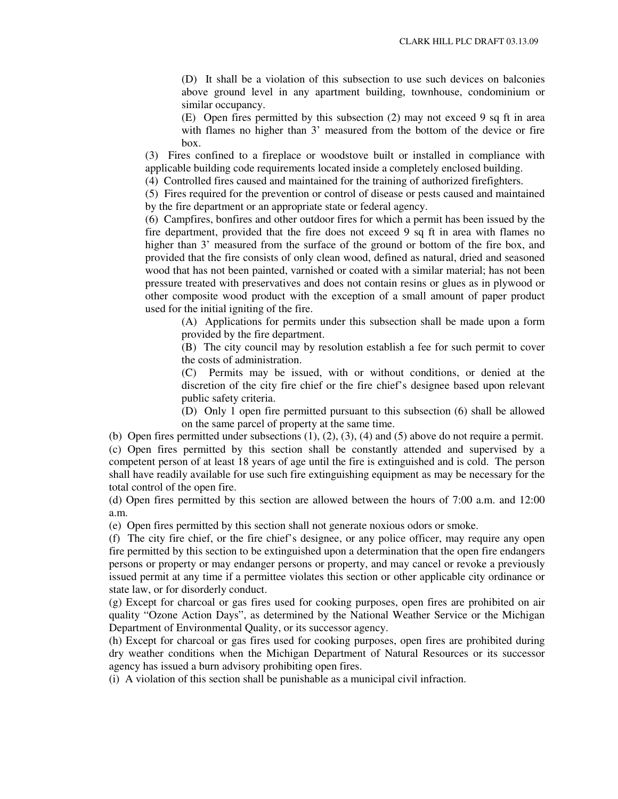(D) It shall be a violation of this subsection to use such devices on balconies above ground level in any apartment building, townhouse, condominium or similar occupancy.

(E) Open fires permitted by this subsection (2) may not exceed 9 sq ft in area with flames no higher than 3' measured from the bottom of the device or fire box.

(3) Fires confined to a fireplace or woodstove built or installed in compliance with applicable building code requirements located inside a completely enclosed building.

(4) Controlled fires caused and maintained for the training of authorized firefighters.

(5) Fires required for the prevention or control of disease or pests caused and maintained by the fire department or an appropriate state or federal agency.

(6) Campfires, bonfires and other outdoor fires for which a permit has been issued by the fire department, provided that the fire does not exceed 9 sq ft in area with flames no higher than 3' measured from the surface of the ground or bottom of the fire box, and provided that the fire consists of only clean wood, defined as natural, dried and seasoned wood that has not been painted, varnished or coated with a similar material; has not been pressure treated with preservatives and does not contain resins or glues as in plywood or other composite wood product with the exception of a small amount of paper product used for the initial igniting of the fire.

(A) Applications for permits under this subsection shall be made upon a form provided by the fire department.

(B) The city council may by resolution establish a fee for such permit to cover the costs of administration.

(C) Permits may be issued, with or without conditions, or denied at the discretion of the city fire chief or the fire chief's designee based upon relevant public safety criteria.

(D) Only 1 open fire permitted pursuant to this subsection (6) shall be allowed on the same parcel of property at the same time.

(b) Open fires permitted under subsections  $(1)$ ,  $(2)$ ,  $(3)$ ,  $(4)$  and  $(5)$  above do not require a permit.

(c) Open fires permitted by this section shall be constantly attended and supervised by a competent person of at least 18 years of age until the fire is extinguished and is cold. The person shall have readily available for use such fire extinguishing equipment as may be necessary for the total control of the open fire.

(d) Open fires permitted by this section are allowed between the hours of 7:00 a.m. and 12:00 a.m.

(e) Open fires permitted by this section shall not generate noxious odors or smoke.

(f) The city fire chief, or the fire chief's designee, or any police officer, may require any open fire permitted by this section to be extinguished upon a determination that the open fire endangers persons or property or may endanger persons or property, and may cancel or revoke a previously issued permit at any time if a permittee violates this section or other applicable city ordinance or state law, or for disorderly conduct.

(g) Except for charcoal or gas fires used for cooking purposes, open fires are prohibited on air quality "Ozone Action Days", as determined by the National Weather Service or the Michigan Department of Environmental Quality, or its successor agency.

(h) Except for charcoal or gas fires used for cooking purposes, open fires are prohibited during dry weather conditions when the Michigan Department of Natural Resources or its successor agency has issued a burn advisory prohibiting open fires.

(i) A violation of this section shall be punishable as a municipal civil infraction.